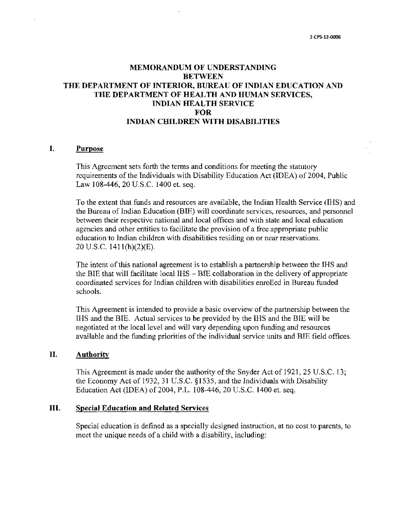## MEMORANDUM OF UNDERSTANDING BETWEEN THE DEPARTMENT OF INTERIOR, BUREAU OF INDIAN EDUCATION AND THE DEPARTMENT OF HEALTH AND HUMAN SERVICES, INDIAN HEALTH SERVICE FOR INDIAN CHILDREN WITH DISABILITIES

#### I. Purpose

This Agreement sets forth the terms and conditions for meeting the statutory requirements of the Individuals with Disability Education Act (IDEA) of 2004, Public Law 108-446, 20 U.S.C. 1400 et. seq.

To the extent that funds and resources are available, the Indian Health Service (IHS) and the Bureau of Indian Education (BIE) will coordinate services, resources, and persormel between their respective national and local offices and with state and local education agencies and other entities to facilitate the provision of a free appropriate public education to Indian children with disabilities residing on or near reservations. 20 U.S.C. 1411(h)(2)(E).

The intent of this national agreement is to establish a partnership between the IHS and the BIE that will facilitate local IHS  $-$  BIE collaboration in the delivery of appropriate coordinated services for Indian children with disabilities enrolled in Bureau funded schools.

This Agreement is intended to provide a basic overview of the partnership between the IHS and the BIE. Actual services to be provided by the lHS and the BIE will be negotiated at the local level and \Vill vary depending upon funding and resources available and the funding priorities of the individual service units and BIE field offices.

#### II. Authority

This Agreement is made under the authority of the Snyder Act of 1921, 25 U.S.C. 13; the Economy Act of 1932, 31 U.S.C. § 1535, and the Individuals with Disability Education Act (IDEA) of 2004, P.L. 108-446, 20 U,S.C. 1400 et. seq.

#### III. Special Education and Related Services

Special education is defined as a specially designed instruction, at no cost to parents, to meet the unique needs of a child with a disability, including: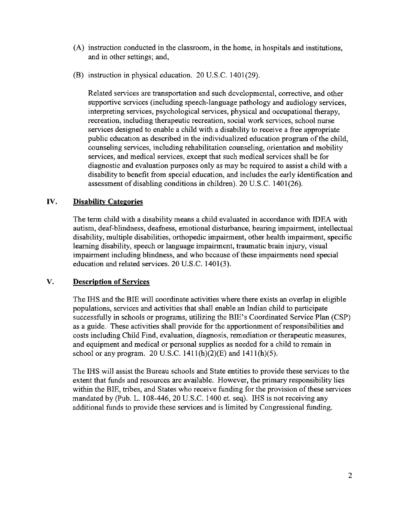- (A) instruction conducted in the classroom, in the home, in hospitals and institutions, and in other settings; and,
- (B) instruction in physical education. 20 U.S.C. 1401(29).

Related services are transportation and such developmental, corrective, and other supportive services (including speech-language pathology and audiology services, interpreting services, psychological services, physical and occupational therapy, recreation, including therapeutic recreation, social work services, school nurse services designed to enable a child with a disability to receive a free appropriate public education as described in the individualized education program of the child, counseling services, including rehabilitation counseling, orientation and mobility services, and medical services, except that such medical services shall be for diagnostic and evaluation purposes only as may be required to assist a child with a disability to benefit from special education, and includes the early identification and assessment of disabling conditions in children). 20 U.S.C. 1401(26).

## IV. Disability Categories

The tenn child with a disability means a child evaluated in accordance with IDEA with autism, deaf-blindness, deafness, emotional disturbance, hearing impairment, intellectual disability, multiple disabilities, orthopedic impairment, other health impairment, specific learning disability, speech or language impairment, traumatic brain injury, visual impairment including blindness, and who because of these impairments need special education and related services. 20 U.S.C. 1401(3).

## V. Description of Services

The IHS and the BIE will coordinate activities where there exists an overlap in eligible populations, services and activities that shall enable an Indian child to participate successfully in schools or programs, utilizing the BIE's Coordinated Service Plan (CSP) as a guide. These activities shall provide for the apportionment of responsibilities and costs including Child Find, evaluation, diagnosis, remediation or therapeutic measures, and equipment and medical or personal supplies as needed for a child to remain in school or any program. 20 U.S.C.  $1411(h)(2)(E)$  and  $1411(h)(5)$ .

The IHS wil1 assist the Bureau schools and State entities to provide these services to the extent that funds and resources are available. However, the primary responsibility lies within the BIE, tribes, and States who receive funding for the provision of these services mandated by (Pub. L. 108-446, 20 U.S.C. 1400 et. seq). IHS is not receiving any additional funds to provide these services and is limited by Congressional funding.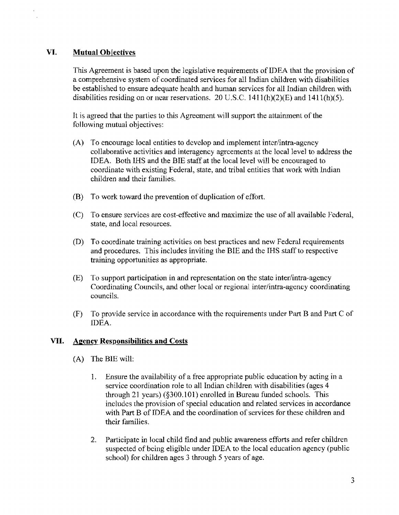# VI. Mutual Objectives

This Agreement is based upon the legislative requirements of IDEA that the provision of a comprehensive system of coordinated services for all Indian children with disabilities be established to ensure adequate health and human services for all Indian children with disabilities residing on or near reservations. 20 U.S.C.  $1411(h)(2)(E)$  and  $1411(h)(5)$ .

It is agreed that the parties to this Agreement will support the attainment of the following mutual objectives:

- (A) To encourage local entities to develop and implement inter/intra-agency collaborative activities and interagency agreements at the local level to address the IDEA. Both IHS and the BIE staff at the local level \vill be encouraged to coordinate with existing Federal, state, and tribal entities that work with Indian children and their families.
- (B) To work toward the prevention of duplication of effort.
- (C) To ensure services are cost-effective and maximize the use of all available Federal~ state, and local resources.
- (D) To coordinate training activities on best practices and new Federal requirements and procedures. This includes inviting the BIE and the IRS staff to respective training opportunities as appropriate.
- (E) To support participation in and representation on the state inter/intra~agency Coordinating Councils, and other local or regional inter/intra-agency coordinating councils.
- (F) To provide service in accordance with the requirements tmder Part B and Part C of IDEA.

## VII. Agency Responsibilities and Costs

- $(A)$  The BIE will:
	- 1. Ensure the availability of a free appropriate public education by acting in a service coordination role to all Indian children with disabilities (ages 4 through 21 years) (§300.101) enrolled in Bureau funded schools. This includes the provision of special education and related services in accordance with Part B of IDEA and the coordination of services for these children and their families.
	- 2. Participate in local child find and public awareness efforts and refer children suspected of being eligible under IDEA to the local education agency (public school) for children ages 3 through 5 years of age.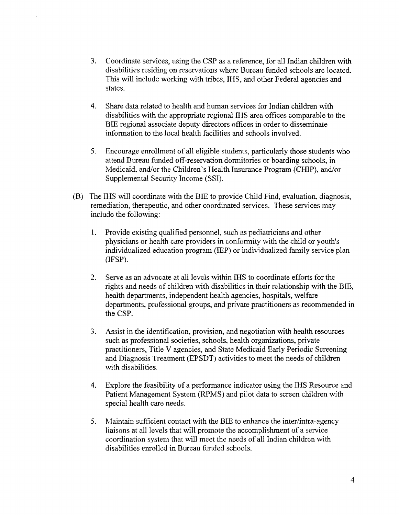- 3. Coordinate services, using the CSP as a reference, for all Indian children with disabilities residing on reservations \vhere Bureau funded schools are located. This will include working with tribes. IHS, and other Federal agencies and states.
- 4. Share data related to health and human services for Indian children \vith disabilities with the appropriate regional IHS area offices comparable to the BIE regional associate deputy directors offices in order to disseminate infotmation to the local health facilities and schools involved.
- 5. Encourage emol1ment of all eligible students, particularly those students who attend Bureau funded off-reservation dormitories or boarding schools, in Medicaid, and/or the Children's Health Insurance Program (CHIP), and/or Supplemental Security Income (SSI).
- $(B)$  The IHS will coordinate with the BIE to provide Child Find, evaluation, diagnosis, remediation, therapeutic, and other coordinated services. These services may include the following:
	- 1. Provide existing qualified personnel, such as pediatricians and other physicians or health care providers in conformity with the child or youth's individualized education program (IEP) or individualized family service plan (lFSP).
	- 2. Serve as an advocate at all levels vvithin IHS to coordinate efforts for the rights and needs of children \vith disabilities in their relationship with the BIE, health departments, independent health agencies, hospitals, welfare departments, professional groups, and private practitioners as recommended in the CSP.
	- 3. Assist in the identification~ provision, and negotiation with health resources such as professional societies, schools, health organizations, private practitioners, Title V agencies, and State Medicaid Early Periodic Screening and Diagnosis Treatment (EPSDT) activities to meet the needs of children with disabilities.
	- 4. Explore the feasibility of a perfotmance indicator using the IHS Resource and Patient Management System (RPMS) and piJot data to screen children with special health care needs.
	- 5. Maintain sufficient contact with the BIE to enhance the inter/intra-agency liaisons at all levels that will promote the accomplishment of a service coordination system that will meet the needs of all Indian children with disabilities enrolled in Bureau funded schools.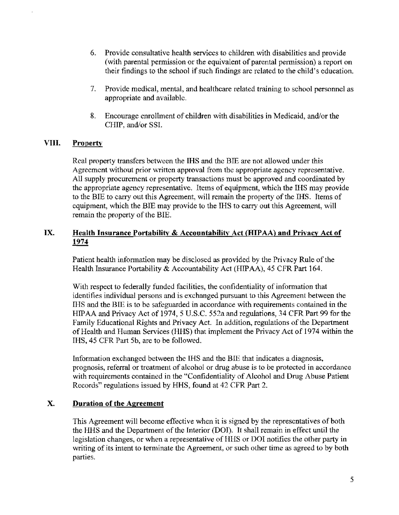- 6. Provide consultative health services to children with disabilities and provide (with parental pennission or the equivalent of parental permission) a report on their findings to the school if such findings are related to the child's education.
- 7. Provide medical, mental, and healthcare related training to school personnel as appropriate and available.
- 8. Encourage enrollment of children with disabilities in Medicaid, and/or the CHIP, and/or SSL

## VIII. Property

Real property transfers between the IHS and the BIE are not allowed under this Agreement without prior written approval from the appropriate agency representative. All supply procurement or property transactions must be approved and coordinated by the appropriate agency representative. Items of equipment, which the IRS may provide to the BIE to carry out this Agreement, \vill remain the property of the IHS. Items of equipment, which the BIE may provide to the IHS to carry out this Agreement, will remain the property of the BIE.

## IX. Health Insurance Portability & Accountability Act (HIPAA) and Privacy Act of 1974

Patient health information may be disclosed as provided by the Privacy Rule of the Health Insurance Portability  $\&$  Accountability Act (HIP AA), 45 CFR Part 164.

With respect to federally funded facilities, the confidentiality of information that identifies individual persons and is exchanged pursuant to this Agreement between the IHS and the BIE is to be safeguarded in accordance with requirements contained in the HIPAA and Privacy Act of 1974, 5 U.S.C. 552a and regulations, 34 CFR Part 99 for the Family Educational Rights and Privacy Act. In addition, regulations of the Department of Health and Human Services (HHS) that implement the Privacy Act of 1974 within the IHS, 45 CFR Part 5b, are to be followed.

Information exchanged between the IHS and the BIE that indicates a diagnosis, prognosis, referral or treatment of alcohol or drug abuse is to be protected in accordance with requirements contained in the "Confidentiality of Alcohol and Drug Abuse Patient Records" regulations issued by RHS, found at 42 CFR Part 2.

## x. Duration of the Agreement

This Agreement will become effective when it is signed by the representatives of both the IIHS and the Department of the Interior (DOl). It shall remain in effect until the legislation changes, or when a representative of HHS or DOr notifies the other party in writing of its intent to terminate the Agreement, or such other time as agreed to by both parties.